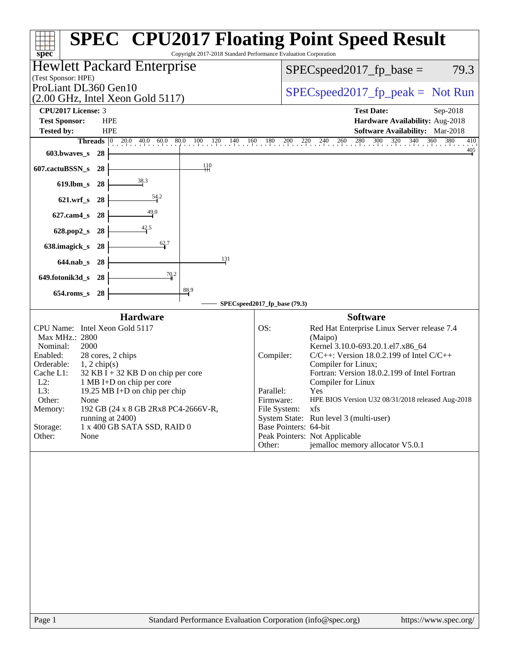| Copyright 2017-2018 Standard Performance Evaluation Corporation<br>$spec^*$                                                                                                                                                                                                                                                                                                                                                                           | <b>SPEC<sup>®</sup></b> CPU2017 Floating Point Speed Result                                                                                                                                                                                                                                                                                                                                                                                                                                                                                     |
|-------------------------------------------------------------------------------------------------------------------------------------------------------------------------------------------------------------------------------------------------------------------------------------------------------------------------------------------------------------------------------------------------------------------------------------------------------|-------------------------------------------------------------------------------------------------------------------------------------------------------------------------------------------------------------------------------------------------------------------------------------------------------------------------------------------------------------------------------------------------------------------------------------------------------------------------------------------------------------------------------------------------|
| Hewlett Packard Enterprise<br>(Test Sponsor: HPE)                                                                                                                                                                                                                                                                                                                                                                                                     | $SPEC speed2017_fp\_base =$<br>79.3                                                                                                                                                                                                                                                                                                                                                                                                                                                                                                             |
| ProLiant DL360 Gen10<br>(2.00 GHz, Intel Xeon Gold 5117)                                                                                                                                                                                                                                                                                                                                                                                              | $SPEC speed2017rfp peak = Not Run$                                                                                                                                                                                                                                                                                                                                                                                                                                                                                                              |
| <b>CPU2017 License: 3</b><br><b>Test Sponsor:</b><br><b>HPE</b><br><b>HPE</b><br><b>Tested by:</b><br>Threads $ 0 $<br>$20.0$ 40.0 60.0 80.0 100 120 140 160 180 200 220 240 260<br>603.bwaves s 28                                                                                                                                                                                                                                                   | <b>Test Date:</b><br>Sep-2018<br>Hardware Availability: Aug-2018<br>Software Availability: Mar-2018<br>$\frac{380}{1}$<br>$^{280}$<br>$300$ $320$ $340$<br>360<br>$^{410}$<br>$\frac{405}{4}$                                                                                                                                                                                                                                                                                                                                                   |
| $\frac{110}{11}$<br>607.cactuBSSN_s<br>-28                                                                                                                                                                                                                                                                                                                                                                                                            |                                                                                                                                                                                                                                                                                                                                                                                                                                                                                                                                                 |
| 38.3<br>$619$ .lbm_s<br>28                                                                                                                                                                                                                                                                                                                                                                                                                            |                                                                                                                                                                                                                                                                                                                                                                                                                                                                                                                                                 |
| 54.2<br>$621.wrf$ s<br>-28                                                                                                                                                                                                                                                                                                                                                                                                                            |                                                                                                                                                                                                                                                                                                                                                                                                                                                                                                                                                 |
| $\frac{49.0}{4}$<br>$627$ .cam $4_s$<br>-28                                                                                                                                                                                                                                                                                                                                                                                                           |                                                                                                                                                                                                                                                                                                                                                                                                                                                                                                                                                 |
| 42.5<br>628.pop2_s<br>28<br>62.7                                                                                                                                                                                                                                                                                                                                                                                                                      |                                                                                                                                                                                                                                                                                                                                                                                                                                                                                                                                                 |
| 638.imagick_s<br>28<br>131<br>$644$ .nab s<br>28                                                                                                                                                                                                                                                                                                                                                                                                      |                                                                                                                                                                                                                                                                                                                                                                                                                                                                                                                                                 |
| 70.2<br>649.fotonik3d_s<br>-28                                                                                                                                                                                                                                                                                                                                                                                                                        |                                                                                                                                                                                                                                                                                                                                                                                                                                                                                                                                                 |
| 88.9<br>28<br>$654$ .roms s                                                                                                                                                                                                                                                                                                                                                                                                                           |                                                                                                                                                                                                                                                                                                                                                                                                                                                                                                                                                 |
|                                                                                                                                                                                                                                                                                                                                                                                                                                                       | SPECspeed2017_fp_base (79.3)                                                                                                                                                                                                                                                                                                                                                                                                                                                                                                                    |
| <b>Hardware</b><br>CPU Name: Intel Xeon Gold 5117<br>Max MHz.: 2800<br>Nominal:<br>2000<br>Enabled:<br>28 cores, 2 chips<br>Orderable:<br>$1, 2$ chip(s)<br>Cache L1:<br>$32$ KB I + 32 KB D on chip per core<br>$L2$ :<br>1 MB I+D on chip per core<br>L3:<br>19.25 MB I+D on chip per chip<br>Other:<br>None<br>192 GB (24 x 8 GB 2Rx8 PC4-2666V-R,<br>Memory:<br>running at 2400)<br>$1$ x 400 GB SATA SSD, RAID $0$<br>Storage:<br>Other:<br>None | <b>Software</b><br>OS:<br>Red Hat Enterprise Linux Server release 7.4<br>(Maipo)<br>Kernel 3.10.0-693.20.1.el7.x86_64<br>Compiler:<br>$C/C++$ : Version 18.0.2.199 of Intel $C/C++$<br>Compiler for Linux;<br>Fortran: Version 18.0.2.199 of Intel Fortran<br>Compiler for Linux<br>Parallel:<br>Yes<br>Firmware:<br>HPE BIOS Version U32 08/31/2018 released Aug-2018<br>File System:<br>xfs<br>System State: Run level 3 (multi-user)<br>Base Pointers: 64-bit<br>Peak Pointers: Not Applicable<br>jemalloc memory allocator V5.0.1<br>Other: |
|                                                                                                                                                                                                                                                                                                                                                                                                                                                       |                                                                                                                                                                                                                                                                                                                                                                                                                                                                                                                                                 |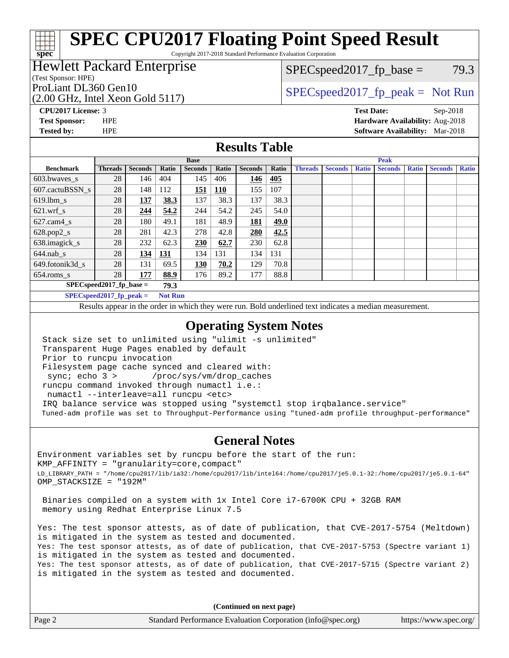Copyright 2017-2018 Standard Performance Evaluation Corporation

## Hewlett Packard Enterprise

### (Test Sponsor: HPE)

**[spec](http://www.spec.org/)**

(2.00 GHz, Intel Xeon Gold 5117) ProLiant DL360 Gen10  $SPEC speed2017$  [p\_peak = Not Run

 $SPEC speed2017_fp\_base = 79.3$ 

**[CPU2017 License:](http://www.spec.org/auto/cpu2017/Docs/result-fields.html#CPU2017License)** 3 **[Test Date:](http://www.spec.org/auto/cpu2017/Docs/result-fields.html#TestDate)** Sep-2018 **[Test Sponsor:](http://www.spec.org/auto/cpu2017/Docs/result-fields.html#TestSponsor)** HPE **[Hardware Availability:](http://www.spec.org/auto/cpu2017/Docs/result-fields.html#HardwareAvailability)** Aug-2018 **[Tested by:](http://www.spec.org/auto/cpu2017/Docs/result-fields.html#Testedby)** HPE **[Software Availability:](http://www.spec.org/auto/cpu2017/Docs/result-fields.html#SoftwareAvailability)** Mar-2018

### **[Results Table](http://www.spec.org/auto/cpu2017/Docs/result-fields.html#ResultsTable)**

|                                    | <b>Base</b>    |                |            |                |            | <b>Peak</b>    |       |                |                |              |                |              |                |              |
|------------------------------------|----------------|----------------|------------|----------------|------------|----------------|-------|----------------|----------------|--------------|----------------|--------------|----------------|--------------|
| <b>Benchmark</b>                   | <b>Threads</b> | <b>Seconds</b> | Ratio      | <b>Seconds</b> | Ratio      | <b>Seconds</b> | Ratio | <b>Threads</b> | <b>Seconds</b> | <b>Ratio</b> | <b>Seconds</b> | <b>Ratio</b> | <b>Seconds</b> | <b>Ratio</b> |
| 603.bwayes s                       | 28             | 146            | 404        | 145            | 406        | 146            | 405   |                |                |              |                |              |                |              |
| 607.cactuBSSN s                    | 28             | 148            | 112        | 151            | <b>110</b> | 155            | 107   |                |                |              |                |              |                |              |
| $619.1 \text{bm}\s$                | 28             | 137            | 38.3       | 137            | 38.3       | 137            | 38.3  |                |                |              |                |              |                |              |
| $621.wrf$ s                        | 28             | 244            | 54.2       | 244            | 54.2       | 245            | 54.0  |                |                |              |                |              |                |              |
| $627$ .cam $4$ <sub>-S</sub>       | 28             | 180            | 49.1       | 181            | 48.9       | <u>181</u>     | 49.0  |                |                |              |                |              |                |              |
| $628.pop2_s$                       | 28             | 281            | 42.3       | 278            | 42.8       | 280            | 42.5  |                |                |              |                |              |                |              |
| 638.imagick_s                      | 28             | 232            | 62.3       | 230            | 62.7       | 230            | 62.8  |                |                |              |                |              |                |              |
| $644$ .nab s                       | 28             | 134            | <u>131</u> | 134            | 131        | 134            | 131   |                |                |              |                |              |                |              |
| 649.fotonik3d s                    | 28             | 131            | 69.5       | <u>130</u>     | 70.2       | 129            | 70.8  |                |                |              |                |              |                |              |
| 654.roms s                         | 28             | 177            | 88.9       | 176            | 89.2       | 177            | 88.8  |                |                |              |                |              |                |              |
| $SPEC speed2017$ fp base =<br>79.3 |                |                |            |                |            |                |       |                |                |              |                |              |                |              |
| $SPECspeed2017$ fp peak =          |                |                |            | <b>Not Run</b> |            |                |       |                |                |              |                |              |                |              |

Results appear in the [order in which they were run.](http://www.spec.org/auto/cpu2017/Docs/result-fields.html#RunOrder) Bold underlined text [indicates a median measurement](http://www.spec.org/auto/cpu2017/Docs/result-fields.html#Median).

### **[Operating System Notes](http://www.spec.org/auto/cpu2017/Docs/result-fields.html#OperatingSystemNotes)**

 Stack size set to unlimited using "ulimit -s unlimited" Transparent Huge Pages enabled by default Prior to runcpu invocation Filesystem page cache synced and cleared with: sync; echo 3 > /proc/sys/vm/drop\_caches runcpu command invoked through numactl i.e.: numactl --interleave=all runcpu <etc> IRQ balance service was stopped using "systemctl stop irqbalance.service" Tuned-adm profile was set to Throughput-Performance using "tuned-adm profile throughput-performance"

### **[General Notes](http://www.spec.org/auto/cpu2017/Docs/result-fields.html#GeneralNotes)**

Environment variables set by runcpu before the start of the run: KMP\_AFFINITY = "granularity=core,compact" LD\_LIBRARY\_PATH = "/home/cpu2017/lib/ia32:/home/cpu2017/lib/intel64:/home/cpu2017/je5.0.1-32:/home/cpu2017/je5.0.1-64" OMP\_STACKSIZE = "192M"

 Binaries compiled on a system with 1x Intel Core i7-6700K CPU + 32GB RAM memory using Redhat Enterprise Linux 7.5

Yes: The test sponsor attests, as of date of publication, that CVE-2017-5754 (Meltdown) is mitigated in the system as tested and documented. Yes: The test sponsor attests, as of date of publication, that CVE-2017-5753 (Spectre variant 1) is mitigated in the system as tested and documented. Yes: The test sponsor attests, as of date of publication, that CVE-2017-5715 (Spectre variant 2) is mitigated in the system as tested and documented.

**(Continued on next page)**

| Page 2 | Standard Performance Evaluation Corporation (info@spec.org) | https://www.spec.org/ |
|--------|-------------------------------------------------------------|-----------------------|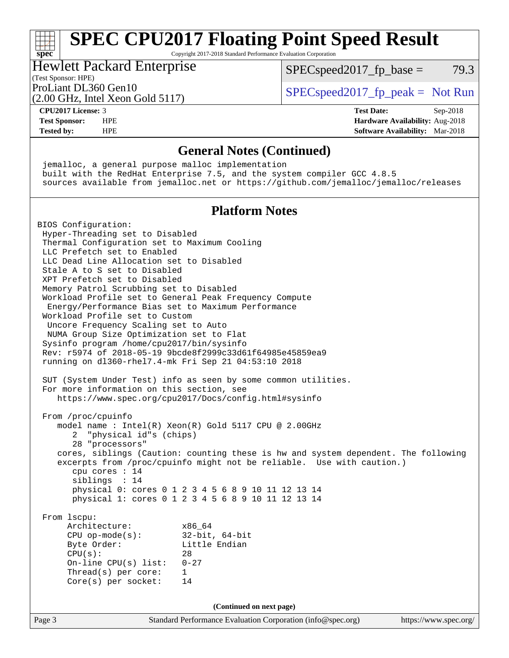### **[spec](http://www.spec.org/) [SPEC CPU2017 Floating Point Speed Result](http://www.spec.org/auto/cpu2017/Docs/result-fields.html#SPECCPU2017FloatingPointSpeedResult)** Copyright 2017-2018 Standard Performance Evaluation Corporation

## Hewlett Packard Enterprise

 $SPEC speed2017_fp\_base = 79.3$ 

# (Test Sponsor: HPE)

(2.00 GHz, Intel Xeon Gold 5117)

ProLiant DL360 Gen10  $SPEC speed2017$  [p\_peak = Not Run

### **[CPU2017 License:](http://www.spec.org/auto/cpu2017/Docs/result-fields.html#CPU2017License)** 3 **[Test Date:](http://www.spec.org/auto/cpu2017/Docs/result-fields.html#TestDate)** Sep-2018

### **[Test Sponsor:](http://www.spec.org/auto/cpu2017/Docs/result-fields.html#TestSponsor)** HPE **[Hardware Availability:](http://www.spec.org/auto/cpu2017/Docs/result-fields.html#HardwareAvailability)** Aug-2018 **[Tested by:](http://www.spec.org/auto/cpu2017/Docs/result-fields.html#Testedby)** HPE **[Software Availability:](http://www.spec.org/auto/cpu2017/Docs/result-fields.html#SoftwareAvailability)** Mar-2018

### **[General Notes \(Continued\)](http://www.spec.org/auto/cpu2017/Docs/result-fields.html#GeneralNotes)**

 jemalloc, a general purpose malloc implementation built with the RedHat Enterprise 7.5, and the system compiler GCC 4.8.5 sources available from jemalloc.net or <https://github.com/jemalloc/jemalloc/releases>

### **[Platform Notes](http://www.spec.org/auto/cpu2017/Docs/result-fields.html#PlatformNotes)**

BIOS Configuration: Hyper-Threading set to Disabled Thermal Configuration set to Maximum Cooling LLC Prefetch set to Enabled LLC Dead Line Allocation set to Disabled Stale A to S set to Disabled XPT Prefetch set to Disabled Memory Patrol Scrubbing set to Disabled Workload Profile set to General Peak Frequency Compute Energy/Performance Bias set to Maximum Performance Workload Profile set to Custom Uncore Frequency Scaling set to Auto NUMA Group Size Optimization set to Flat Sysinfo program /home/cpu2017/bin/sysinfo Rev: r5974 of 2018-05-19 9bcde8f2999c33d61f64985e45859ea9 running on dl360-rhel7.4-mk Fri Sep 21 04:53:10 2018 SUT (System Under Test) info as seen by some common utilities. For more information on this section, see <https://www.spec.org/cpu2017/Docs/config.html#sysinfo> From /proc/cpuinfo model name : Intel(R) Xeon(R) Gold 5117 CPU @ 2.00GHz 2 "physical id"s (chips) 28 "processors" cores, siblings (Caution: counting these is hw and system dependent. The following excerpts from /proc/cpuinfo might not be reliable. Use with caution.) cpu cores : 14 siblings : 14 physical 0: cores 0 1 2 3 4 5 6 8 9 10 11 12 13 14 physical 1: cores 0 1 2 3 4 5 6 8 9 10 11 12 13 14 From lscpu: Architecture: x86\_64 CPU op-mode(s): 32-bit, 64-bit Byte Order: Little Endian  $CPU(s):$  28 On-line CPU(s) list: 0-27 Thread(s) per core: 1 Core(s) per socket: 14 **(Continued on next page)**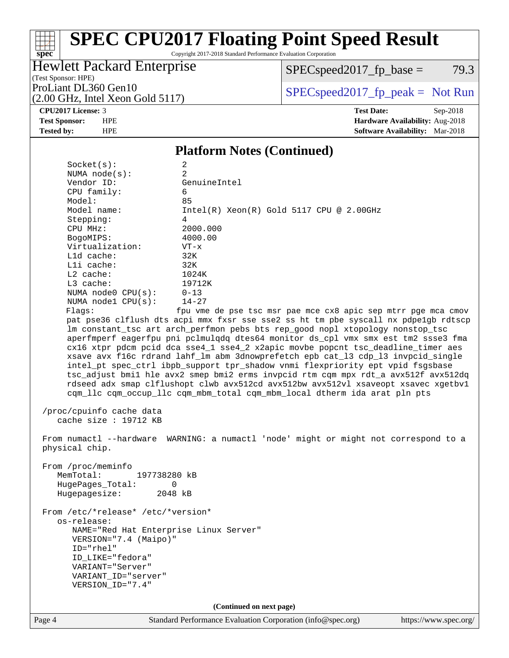Copyright 2017-2018 Standard Performance Evaluation Corporation

## Hewlett Packard Enterprise

 $SPEC speed2017_fp\_base = 79.3$ 

(Test Sponsor: HPE) (2.00 GHz, Intel Xeon Gold 5117)

ProLiant DL360 Gen10  $SPEC speed2017$  [p\_peak = Not Run

### **[CPU2017 License:](http://www.spec.org/auto/cpu2017/Docs/result-fields.html#CPU2017License)** 3 **[Test Date:](http://www.spec.org/auto/cpu2017/Docs/result-fields.html#TestDate)** Sep-2018

**[spec](http://www.spec.org/)**

**[Test Sponsor:](http://www.spec.org/auto/cpu2017/Docs/result-fields.html#TestSponsor)** HPE **[Hardware Availability:](http://www.spec.org/auto/cpu2017/Docs/result-fields.html#HardwareAvailability)** Aug-2018 **[Tested by:](http://www.spec.org/auto/cpu2017/Docs/result-fields.html#Testedby)** HPE **[Software Availability:](http://www.spec.org/auto/cpu2017/Docs/result-fields.html#SoftwareAvailability)** Mar-2018

## **[Platform Notes \(Continued\)](http://www.spec.org/auto/cpu2017/Docs/result-fields.html#PlatformNotes)**

| Socket(s):               | 2                                                                                   |
|--------------------------|-------------------------------------------------------------------------------------|
| NUMA $node(s)$ :         | $\mathfrak{D}$                                                                      |
| Vendor ID:               | GenuineIntel                                                                        |
| CPU family:              | 6                                                                                   |
| Model:                   | 85                                                                                  |
| Model name:              | $Intel(R)$ Xeon $(R)$ Gold 5117 CPU @ 2.00GHz                                       |
| Stepping:                | $\overline{4}$                                                                      |
| CPU MHz:                 | 2000.000                                                                            |
| BogoMIPS:                | 4000.00                                                                             |
| Virtualization:          | $VT - x$                                                                            |
| L1d cache:               | 32K                                                                                 |
| Lli cache:               | 32K                                                                                 |
| $L2$ cache:              | 1024K                                                                               |
| $L3$ cache:              | 19712K                                                                              |
| NUMA node0 CPU(s):       | $0 - 13$                                                                            |
| NUMA $node1$ $CPU(s)$ :  | $14 - 27$                                                                           |
| Flaqs:                   | fpu yme de pse tsc msr pae mce cx8 apic sep mtrr pge mca cmov                       |
|                          | pat pse36 clflush dts acpi mmx fxsr sse sse2 ss ht tm pbe syscall nx pdpe1gb rdtscp |
|                          | lm constant_tsc art arch_perfmon pebs bts rep_good nopl xtopology nonstop_tsc       |
|                          | aperfmperf eagerfpu pni pclmulqdq dtes64 monitor ds_cpl vmx smx est tm2 ssse3 fma   |
|                          | cx16 xtpr pdcm pcid dca sse4_1 sse4_2 x2apic movbe popcnt tsc_deadline_timer aes    |
|                          | xsave avx f16c rdrand lahf_lm abm 3dnowprefetch epb cat_13 cdp_13 invpcid_single    |
|                          | intel_pt spec_ctrl ibpb_support tpr_shadow vnmi flexpriority ept vpid fsgsbase      |
|                          | tsc_adjust bmil hle avx2 smep bmi2 erms invpcid rtm cqm mpx rdt_a avx512f avx512dq  |
|                          | rdseed adx smap clflushopt clwb avx512cd avx512bw avx512vl xsaveopt xsavec xgetbvl  |
|                          | cqm_llc cqm_occup_llc cqm_mbm_total cqm_mbm_local dtherm ida arat pln pts           |
|                          |                                                                                     |
| /proc/cpuinfo cache data |                                                                                     |

 $/pr$ cache size : 19712 KB

 From numactl --hardware WARNING: a numactl 'node' might or might not correspond to a physical chip.

 From /proc/meminfo MemTotal: 197738280 kB HugePages\_Total: 0 Hugepagesize: 2048 kB

 From /etc/\*release\* /etc/\*version\* os-release: NAME="Red Hat Enterprise Linux Server" VERSION="7.4 (Maipo)" ID="rhel" ID\_LIKE="fedora" VARIANT="Server" VARIANT\_ID="server" VERSION\_ID="7.4"

**(Continued on next page)**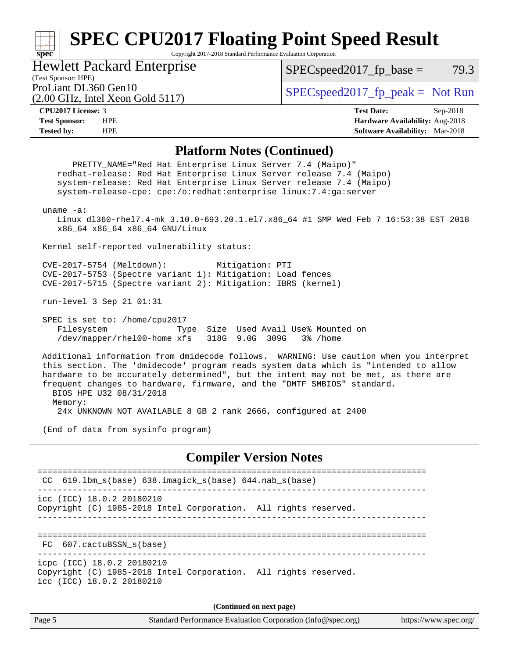Copyright 2017-2018 Standard Performance Evaluation Corporation

Hewlett Packard Enterprise

 $SPEC speed2017_fp\_base = 79.3$ 

### (Test Sponsor: HPE)

(2.00 GHz, Intel Xeon Gold 5117)

ProLiant DL360 Gen10  $SPEC speed2017$  fp\_peak = Not Run

**[spec](http://www.spec.org/)**

**[CPU2017 License:](http://www.spec.org/auto/cpu2017/Docs/result-fields.html#CPU2017License)** 3 **[Test Date:](http://www.spec.org/auto/cpu2017/Docs/result-fields.html#TestDate)** Sep-2018 **[Test Sponsor:](http://www.spec.org/auto/cpu2017/Docs/result-fields.html#TestSponsor)** HPE **[Hardware Availability:](http://www.spec.org/auto/cpu2017/Docs/result-fields.html#HardwareAvailability)** Aug-2018 **[Tested by:](http://www.spec.org/auto/cpu2017/Docs/result-fields.html#Testedby)** HPE **[Software Availability:](http://www.spec.org/auto/cpu2017/Docs/result-fields.html#SoftwareAvailability)** Mar-2018

### **[Platform Notes \(Continued\)](http://www.spec.org/auto/cpu2017/Docs/result-fields.html#PlatformNotes)**

Page 5 Standard Performance Evaluation Corporation [\(info@spec.org\)](mailto:info@spec.org) <https://www.spec.org/> PRETTY\_NAME="Red Hat Enterprise Linux Server 7.4 (Maipo)" redhat-release: Red Hat Enterprise Linux Server release 7.4 (Maipo) system-release: Red Hat Enterprise Linux Server release 7.4 (Maipo) system-release-cpe: cpe:/o:redhat:enterprise\_linux:7.4:ga:server uname -a: Linux dl360-rhel7.4-mk 3.10.0-693.20.1.el7.x86\_64 #1 SMP Wed Feb 7 16:53:38 EST 2018 x86\_64 x86\_64 x86\_64 GNU/Linux Kernel self-reported vulnerability status: CVE-2017-5754 (Meltdown): Mitigation: PTI CVE-2017-5753 (Spectre variant 1): Mitigation: Load fences CVE-2017-5715 (Spectre variant 2): Mitigation: IBRS (kernel) run-level 3 Sep 21 01:31 SPEC is set to: /home/cpu2017 Filesystem Type Size Used Avail Use% Mounted on /dev/mapper/rhel00-home xfs 318G 9.0G 309G 3% /home Additional information from dmidecode follows. WARNING: Use caution when you interpret this section. The 'dmidecode' program reads system data which is "intended to allow hardware to be accurately determined", but the intent may not be met, as there are frequent changes to hardware, firmware, and the "DMTF SMBIOS" standard. BIOS HPE U32 08/31/2018 Memory: 24x UNKNOWN NOT AVAILABLE 8 GB 2 rank 2666, configured at 2400 (End of data from sysinfo program) **[Compiler Version Notes](http://www.spec.org/auto/cpu2017/Docs/result-fields.html#CompilerVersionNotes)** ============================================================================== CC 619.lbm\_s(base) 638.imagick\_s(base) 644.nab\_s(base) ----------------------------------------------------------------------------- icc (ICC) 18.0.2 20180210 Copyright (C) 1985-2018 Intel Corporation. All rights reserved. ------------------------------------------------------------------------------ ============================================================================== FC 607.cactuBSSN\_s(base) ----------------------------------------------------------------------------- icpc (ICC) 18.0.2 20180210 Copyright (C) 1985-2018 Intel Corporation. All rights reserved. icc (ICC) 18.0.2 20180210 **(Continued on next page)**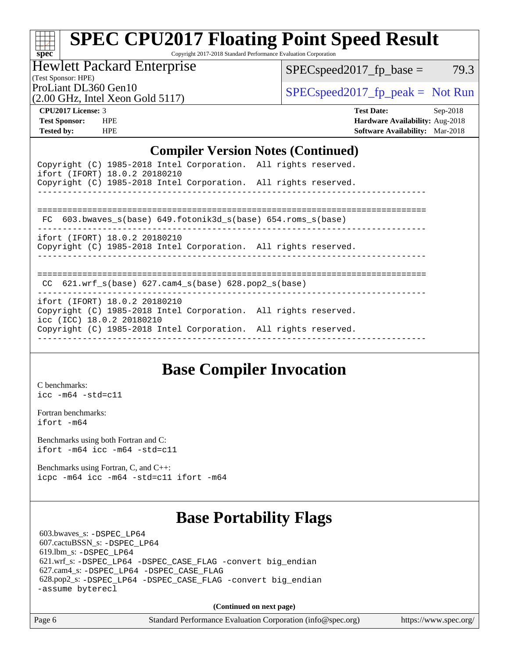Copyright 2017-2018 Standard Performance Evaluation Corporation

Hewlett Packard Enterprise

 $SPEC speed2017_fp\_base = 79.3$ 

(Test Sponsor: HPE)

(2.00 GHz, Intel Xeon Gold 5117)

ProLiant DL360 Gen10  $SPEC speed2017$  [p\_peak = Not Run

**[spec](http://www.spec.org/)**

**[CPU2017 License:](http://www.spec.org/auto/cpu2017/Docs/result-fields.html#CPU2017License)** 3 **[Test Date:](http://www.spec.org/auto/cpu2017/Docs/result-fields.html#TestDate)** Sep-2018 **[Test Sponsor:](http://www.spec.org/auto/cpu2017/Docs/result-fields.html#TestSponsor)** HPE **[Hardware Availability:](http://www.spec.org/auto/cpu2017/Docs/result-fields.html#HardwareAvailability)** Aug-2018 **[Tested by:](http://www.spec.org/auto/cpu2017/Docs/result-fields.html#Testedby)** HPE **[Software Availability:](http://www.spec.org/auto/cpu2017/Docs/result-fields.html#SoftwareAvailability)** Mar-2018

### **[Compiler Version Notes \(Continued\)](http://www.spec.org/auto/cpu2017/Docs/result-fields.html#CompilerVersionNotes)**

| ifort (IFORT) 18.0.2 20180210 | Copyright (C) 1985-2018 Intel Corporation. All rights reserved. |  |
|-------------------------------|-----------------------------------------------------------------|--|
|                               | Copyright (C) 1985-2018 Intel Corporation. All rights reserved. |  |
|                               |                                                                 |  |
|                               | FC 603.bwaves s(base) 649.fotonik3d s(base) 654.roms s(base)    |  |
| ifort (IFORT) 18.0.2 20180210 | Copyright (C) 1985-2018 Intel Corporation. All rights reserved. |  |
|                               |                                                                 |  |

### ==============================================================================

 CC 621.wrf\_s(base) 627.cam4\_s(base) 628.pop2\_s(base) ----------------------------------------------------------------------------- ifort (IFORT) 18.0.2 20180210 Copyright (C) 1985-2018 Intel Corporation. All rights reserved. icc (ICC) 18.0.2 20180210 Copyright (C) 1985-2018 Intel Corporation. All rights reserved.

------------------------------------------------------------------------------

# **[Base Compiler Invocation](http://www.spec.org/auto/cpu2017/Docs/result-fields.html#BaseCompilerInvocation)**

[C benchmarks](http://www.spec.org/auto/cpu2017/Docs/result-fields.html#Cbenchmarks): [icc -m64 -std=c11](http://www.spec.org/cpu2017/results/res2018q4/cpu2017-20181001-08979.flags.html#user_CCbase_intel_icc_64bit_c11_33ee0cdaae7deeeab2a9725423ba97205ce30f63b9926c2519791662299b76a0318f32ddfffdc46587804de3178b4f9328c46fa7c2b0cd779d7a61945c91cd35)

[Fortran benchmarks](http://www.spec.org/auto/cpu2017/Docs/result-fields.html#Fortranbenchmarks): [ifort -m64](http://www.spec.org/cpu2017/results/res2018q4/cpu2017-20181001-08979.flags.html#user_FCbase_intel_ifort_64bit_24f2bb282fbaeffd6157abe4f878425411749daecae9a33200eee2bee2fe76f3b89351d69a8130dd5949958ce389cf37ff59a95e7a40d588e8d3a57e0c3fd751)

[Benchmarks using both Fortran and C](http://www.spec.org/auto/cpu2017/Docs/result-fields.html#BenchmarksusingbothFortranandC): [ifort -m64](http://www.spec.org/cpu2017/results/res2018q4/cpu2017-20181001-08979.flags.html#user_CC_FCbase_intel_ifort_64bit_24f2bb282fbaeffd6157abe4f878425411749daecae9a33200eee2bee2fe76f3b89351d69a8130dd5949958ce389cf37ff59a95e7a40d588e8d3a57e0c3fd751) [icc -m64 -std=c11](http://www.spec.org/cpu2017/results/res2018q4/cpu2017-20181001-08979.flags.html#user_CC_FCbase_intel_icc_64bit_c11_33ee0cdaae7deeeab2a9725423ba97205ce30f63b9926c2519791662299b76a0318f32ddfffdc46587804de3178b4f9328c46fa7c2b0cd779d7a61945c91cd35)

[Benchmarks using Fortran, C, and C++:](http://www.spec.org/auto/cpu2017/Docs/result-fields.html#BenchmarksusingFortranCandCXX) [icpc -m64](http://www.spec.org/cpu2017/results/res2018q4/cpu2017-20181001-08979.flags.html#user_CC_CXX_FCbase_intel_icpc_64bit_4ecb2543ae3f1412ef961e0650ca070fec7b7afdcd6ed48761b84423119d1bf6bdf5cad15b44d48e7256388bc77273b966e5eb805aefd121eb22e9299b2ec9d9) [icc -m64 -std=c11](http://www.spec.org/cpu2017/results/res2018q4/cpu2017-20181001-08979.flags.html#user_CC_CXX_FCbase_intel_icc_64bit_c11_33ee0cdaae7deeeab2a9725423ba97205ce30f63b9926c2519791662299b76a0318f32ddfffdc46587804de3178b4f9328c46fa7c2b0cd779d7a61945c91cd35) [ifort -m64](http://www.spec.org/cpu2017/results/res2018q4/cpu2017-20181001-08979.flags.html#user_CC_CXX_FCbase_intel_ifort_64bit_24f2bb282fbaeffd6157abe4f878425411749daecae9a33200eee2bee2fe76f3b89351d69a8130dd5949958ce389cf37ff59a95e7a40d588e8d3a57e0c3fd751)

# **[Base Portability Flags](http://www.spec.org/auto/cpu2017/Docs/result-fields.html#BasePortabilityFlags)**

 603.bwaves\_s: [-DSPEC\\_LP64](http://www.spec.org/cpu2017/results/res2018q4/cpu2017-20181001-08979.flags.html#suite_basePORTABILITY603_bwaves_s_DSPEC_LP64) 607.cactuBSSN\_s: [-DSPEC\\_LP64](http://www.spec.org/cpu2017/results/res2018q4/cpu2017-20181001-08979.flags.html#suite_basePORTABILITY607_cactuBSSN_s_DSPEC_LP64) 619.lbm\_s: [-DSPEC\\_LP64](http://www.spec.org/cpu2017/results/res2018q4/cpu2017-20181001-08979.flags.html#suite_basePORTABILITY619_lbm_s_DSPEC_LP64) 621.wrf\_s: [-DSPEC\\_LP64](http://www.spec.org/cpu2017/results/res2018q4/cpu2017-20181001-08979.flags.html#suite_basePORTABILITY621_wrf_s_DSPEC_LP64) [-DSPEC\\_CASE\\_FLAG](http://www.spec.org/cpu2017/results/res2018q4/cpu2017-20181001-08979.flags.html#b621.wrf_s_baseCPORTABILITY_DSPEC_CASE_FLAG) [-convert big\\_endian](http://www.spec.org/cpu2017/results/res2018q4/cpu2017-20181001-08979.flags.html#user_baseFPORTABILITY621_wrf_s_convert_big_endian_c3194028bc08c63ac5d04de18c48ce6d347e4e562e8892b8bdbdc0214820426deb8554edfa529a3fb25a586e65a3d812c835984020483e7e73212c4d31a38223) 627.cam4\_s: [-DSPEC\\_LP64](http://www.spec.org/cpu2017/results/res2018q4/cpu2017-20181001-08979.flags.html#suite_basePORTABILITY627_cam4_s_DSPEC_LP64) [-DSPEC\\_CASE\\_FLAG](http://www.spec.org/cpu2017/results/res2018q4/cpu2017-20181001-08979.flags.html#b627.cam4_s_baseCPORTABILITY_DSPEC_CASE_FLAG) 628.pop2\_s: [-DSPEC\\_LP64](http://www.spec.org/cpu2017/results/res2018q4/cpu2017-20181001-08979.flags.html#suite_basePORTABILITY628_pop2_s_DSPEC_LP64) [-DSPEC\\_CASE\\_FLAG](http://www.spec.org/cpu2017/results/res2018q4/cpu2017-20181001-08979.flags.html#b628.pop2_s_baseCPORTABILITY_DSPEC_CASE_FLAG) [-convert big\\_endian](http://www.spec.org/cpu2017/results/res2018q4/cpu2017-20181001-08979.flags.html#user_baseFPORTABILITY628_pop2_s_convert_big_endian_c3194028bc08c63ac5d04de18c48ce6d347e4e562e8892b8bdbdc0214820426deb8554edfa529a3fb25a586e65a3d812c835984020483e7e73212c4d31a38223) [-assume byterecl](http://www.spec.org/cpu2017/results/res2018q4/cpu2017-20181001-08979.flags.html#user_baseFPORTABILITY628_pop2_s_assume_byterecl_7e47d18b9513cf18525430bbf0f2177aa9bf368bc7a059c09b2c06a34b53bd3447c950d3f8d6c70e3faf3a05c8557d66a5798b567902e8849adc142926523472)

**(Continued on next page)**

Page 6 Standard Performance Evaluation Corporation [\(info@spec.org\)](mailto:info@spec.org) <https://www.spec.org/>